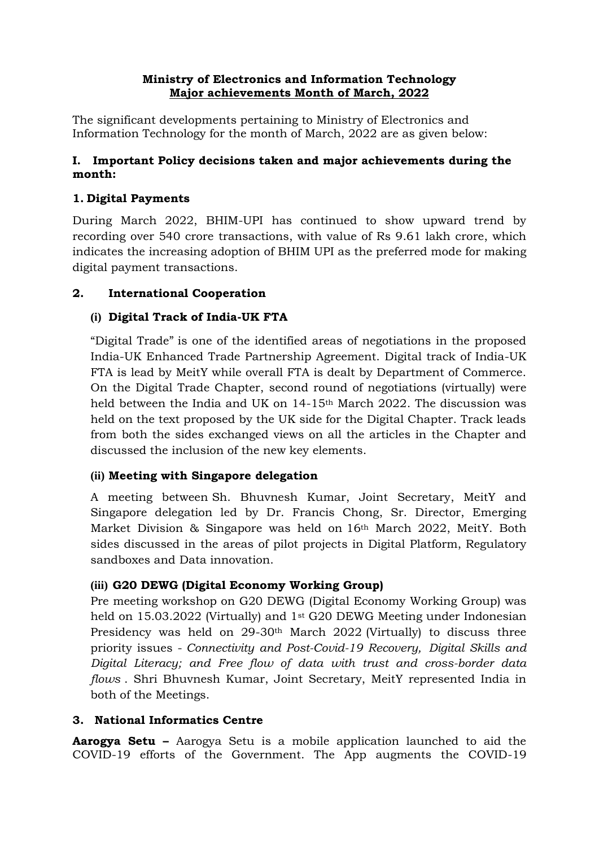#### **Ministry of Electronics and Information Technology Major achievements Month of March, 2022**

The significant developments pertaining to Ministry of Electronics and Information Technology for the month of March, 2022 are as given below:

#### **I. Important Policy decisions taken and major achievements during the month:**

## **1. Digital Payments**

During March 2022, BHIM-UPI has continued to show upward trend by recording over 540 crore transactions, with value of Rs 9.61 lakh crore, which indicates the increasing adoption of BHIM UPI as the preferred mode for making digital payment transactions.

## **2. International Cooperation**

### **(i) Digital Track of India-UK FTA**

"Digital Trade" is one of the identified areas of negotiations in the proposed India-UK Enhanced Trade Partnership Agreement. Digital track of India-UK FTA is lead by MeitY while overall FTA is dealt by Department of Commerce. On the Digital Trade Chapter, second round of negotiations (virtually) were held between the India and UK on 14-15th March 2022. The discussion was held on the text proposed by the UK side for the Digital Chapter. Track leads from both the sides exchanged views on all the articles in the Chapter and discussed the inclusion of the new key elements.

### **(ii) Meeting with Singapore delegation**

A meeting between Sh. Bhuvnesh Kumar, Joint Secretary, MeitY and Singapore delegation led by Dr. Francis Chong, Sr. Director, Emerging Market Division & Singapore was held on 16th March 2022, MeitY. Both sides discussed in the areas of pilot projects in Digital Platform, Regulatory sandboxes and Data innovation.

# **(iii) G20 DEWG (Digital Economy Working Group)**

Pre meeting workshop on G20 DEWG (Digital Economy Working Group) was held on 15.03.2022 (Virtually) and 1st G20 DEWG Meeting under Indonesian Presidency was held on 29-30th March 2022 (Virtually) to discuss three priority issues - *Connectivity and Post-Covid-19 Recovery, Digital Skills and Digital Literacy; and Free flow of data with trust and cross-border data flows* . Shri Bhuvnesh Kumar, Joint Secretary, MeitY represented India in both of the Meetings.

### **3. National Informatics Centre**

**Aarogya Setu –** Aarogya Setu is a mobile application launched to aid the COVID-19 efforts of the Government. The App augments the COVID-19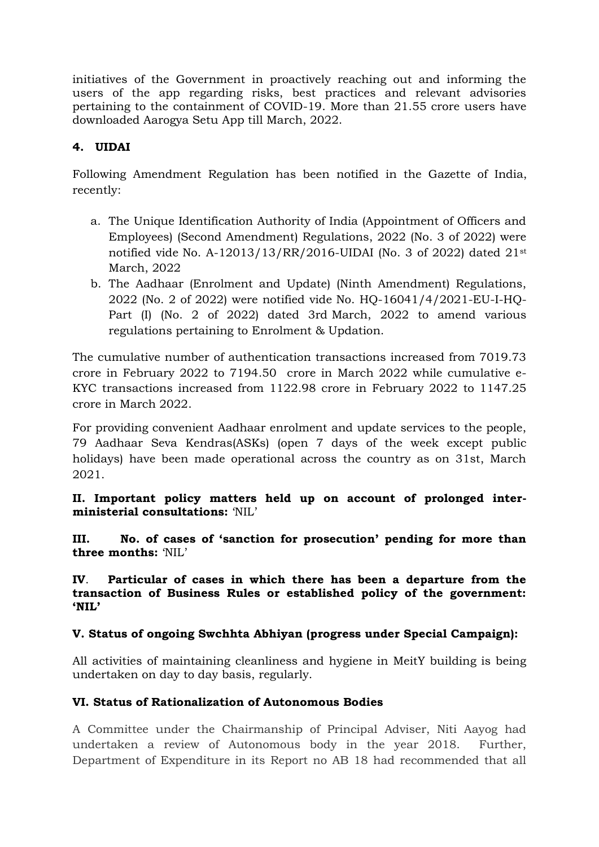initiatives of the Government in proactively reaching out and informing the users of the app regarding risks, best practices and relevant advisories pertaining to the containment of COVID-19. More than 21.55 crore users have downloaded Aarogya Setu App till March, 2022.

# **4. UIDAI**

Following Amendment Regulation has been notified in the Gazette of India, recently:

- a. The Unique Identification Authority of India (Appointment of Officers and Employees) (Second Amendment) Regulations, 2022 (No. 3 of 2022) were notified vide No. A-12013/13/RR/2016-UIDAI (No. 3 of 2022) dated 21st March, 2022
- b. The Aadhaar (Enrolment and Update) (Ninth Amendment) Regulations, 2022 (No. 2 of 2022) were notified vide No. HQ-16041/4/2021-EU-I-HQ-Part (I) (No. 2 of 2022) dated 3rd March, 2022 to amend various regulations pertaining to Enrolment & Updation.

The cumulative number of authentication transactions increased from 7019.73 crore in February 2022 to 7194.50 crore in March 2022 while cumulative e-KYC transactions increased from 1122.98 crore in February 2022 to 1147.25 crore in March 2022.

For providing convenient Aadhaar enrolment and update services to the people, 79 Aadhaar Seva Kendras(ASKs) (open 7 days of the week except public holidays) have been made operational across the country as on 31st, March 2021.

**II. Important policy matters held up on account of prolonged interministerial consultations:** 'NIL'

**III. No. of cases of 'sanction for prosecution' pending for more than three months:** 'NIL'

**IV**. **Particular of cases in which there has been a departure from the transaction of Business Rules or established policy of the government: 'NIL'**

### **V. Status of ongoing Swchhta Abhiyan (progress under Special Campaign):**

All activities of maintaining cleanliness and hygiene in MeitY building is being undertaken on day to day basis, regularly.

### **VI. Status of Rationalization of Autonomous Bodies**

A Committee under the Chairmanship of Principal Adviser, Niti Aayog had undertaken a review of Autonomous body in the year 2018. Further, Department of Expenditure in its Report no AB 18 had recommended that all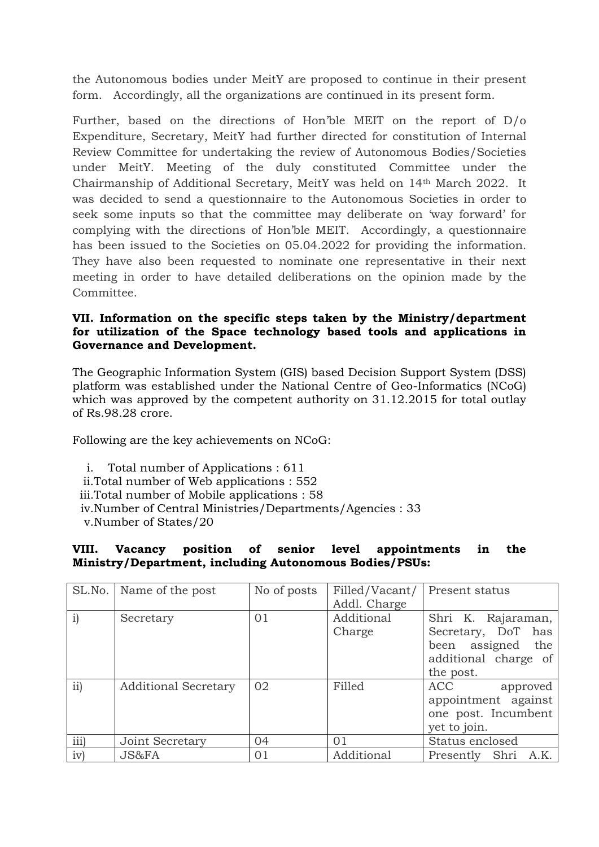the Autonomous bodies under MeitY are proposed to continue in their present form. Accordingly, all the organizations are continued in its present form.

Further, based on the directions of Hon'ble MEIT on the report of D/o Expenditure, Secretary, MeitY had further directed for constitution of Internal Review Committee for undertaking the review of Autonomous Bodies/Societies under MeitY. Meeting of the duly constituted Committee under the Chairmanship of Additional Secretary, MeitY was held on 14th March 2022. It was decided to send a questionnaire to the Autonomous Societies in order to seek some inputs so that the committee may deliberate on 'way forward' for complying with the directions of Hon'ble MEIT. Accordingly, a questionnaire has been issued to the Societies on 05.04.2022 for providing the information. They have also been requested to nominate one representative in their next meeting in order to have detailed deliberations on the opinion made by the Committee.

#### **VII. Information on the specific steps taken by the Ministry/department for utilization of the Space technology based tools and applications in Governance and Development.**

The Geographic Information System (GIS) based Decision Support System (DSS) platform was established under the National Centre of Geo-Informatics (NCoG) which was approved by the competent authority on 31.12.2015 for total outlay of Rs.98.28 crore.

Following are the key achievements on NCoG:

- i. Total number of Applications : 611
- ii.Total number of Web applications : 552
- iii.Total number of Mobile applications : 58
- iv.Number of Central Ministries/Departments/Agencies : 33
- v.Number of States/20

#### **VIII. Vacancy position of senior level appointments in the Ministry/Department, including Autonomous Bodies/PSUs:**

| SL.No.        | Name of the post            | No of posts | Filled/Vacant/ | Present status       |
|---------------|-----------------------------|-------------|----------------|----------------------|
|               |                             |             | Addl. Charge   |                      |
| $\mathbf{i})$ | Secretary                   | 01          | Additional     | Shri K. Rajaraman,   |
|               |                             |             | Charge         | Secretary, DoT has   |
|               |                             |             |                | been assigned the    |
|               |                             |             |                | additional charge of |
|               |                             |             |                | the post.            |
| ii)           | <b>Additional Secretary</b> | 02          | Filled         | ACC<br>approved      |
|               |                             |             |                | appointment against  |
|               |                             |             |                | one post. Incumbent  |
|               |                             |             |                | yet to join.         |
| iii)          | Joint Secretary             | 04          | 01             | Status enclosed      |
| iv)           | JS&FA                       | 01          | Additional     | Presently Shri A.K.  |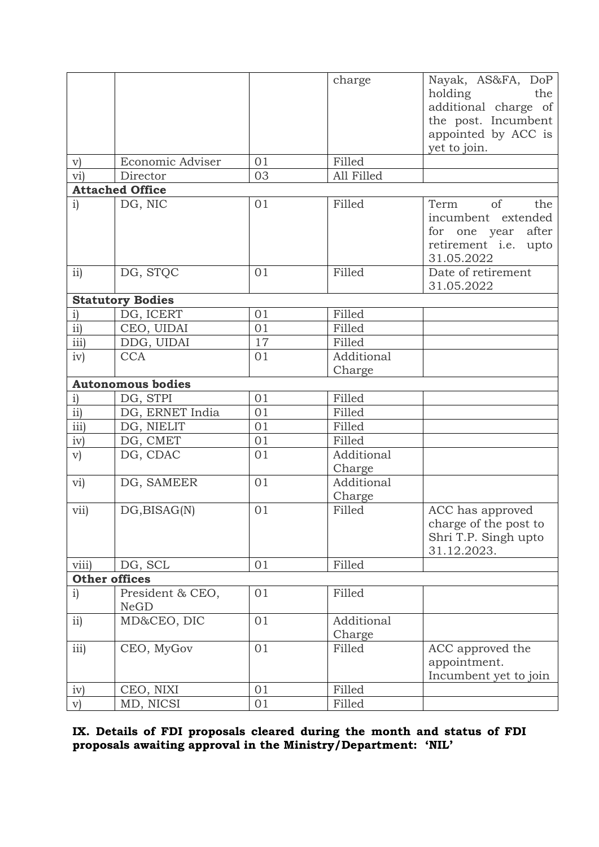|                        |                                 |    | charge     | Nayak, AS&FA, DoP              |
|------------------------|---------------------------------|----|------------|--------------------------------|
|                        |                                 |    |            | holding<br>the                 |
|                        |                                 |    |            | additional charge of           |
|                        |                                 |    |            | the post. Incumbent            |
|                        |                                 |    |            | appointed by ACC is            |
|                        |                                 |    |            | yet to join.                   |
| $\rm v)$               | Economic Adviser                | 01 | Filled     |                                |
| $\overline{\text{vi}}$ | Director                        | 03 | All Filled |                                |
|                        | <b>Attached Office</b>          |    |            |                                |
| i)                     | DG, NIC                         | 01 | Filled     | of<br>Term<br>the              |
|                        |                                 |    |            | incumbent extended             |
|                        |                                 |    |            | after<br>for one year          |
|                        |                                 |    |            | retirement <i>i.e.</i><br>upto |
|                        |                                 |    |            | 31.05.2022                     |
| ii)                    | DG, STOC                        | 01 | Filled     | Date of retirement             |
|                        |                                 |    |            | 31.05.2022                     |
|                        | <b>Statutory Bodies</b>         |    |            |                                |
| $\mathbf{i})$          | DG, ICERT                       | 01 | Filled     |                                |
| $\overline{ii}$        | CEO, UIDAI                      | 01 | Filled     |                                |
| iii)                   | DDG, UIDAI                      | 17 | Filled     |                                |
| iv)                    | <b>CCA</b>                      | 01 | Additional |                                |
|                        |                                 |    | Charge     |                                |
|                        | <b>Autonomous bodies</b>        |    |            |                                |
| $\mathbf{i})$          | DG, STPI                        | 01 | Filled     |                                |
| $\overline{ii}$        | DG, ERNET India                 | 01 | Filled     |                                |
| $\overline{iii}$       | DG, NIELIT                      | 01 | Filled     |                                |
| iv)                    | DG, CMET                        | 01 | Filled     |                                |
| V)                     | DG, CDAC                        | 01 | Additional |                                |
|                        |                                 |    | Charge     |                                |
| vi)                    | DG, SAMEER                      | 01 | Additional |                                |
|                        |                                 |    | Charge     |                                |
| vii)                   | DG, BISAG(N)                    | 01 | Filled     | ACC has approved               |
|                        |                                 |    |            | charge of the post to          |
|                        |                                 |    |            | Shri T.P. Singh upto           |
|                        |                                 |    |            | 31.12.2023.                    |
| viii)                  | DG, SCL                         | 01 | Filled     |                                |
| <b>Other offices</b>   |                                 |    |            |                                |
| $\mathbf{i}$           | President & CEO,<br><b>NeGD</b> | 01 | Filled     |                                |
| ii)                    | MD&CEO, DIC                     | 01 | Additional |                                |
|                        |                                 |    | Charge     |                                |
| iii)                   | CEO, MyGov                      | 01 | Filled     | ACC approved the               |
|                        |                                 |    |            | appointment.                   |
|                        |                                 |    |            | Incumbent yet to join          |
| iv)                    | CEO, NIXI                       | 01 | Filled     |                                |
| V)                     | MD, NICSI                       | 01 | Filled     |                                |

**IX. Details of FDI proposals cleared during the month and status of FDI proposals awaiting approval in the Ministry/Department: 'NIL'**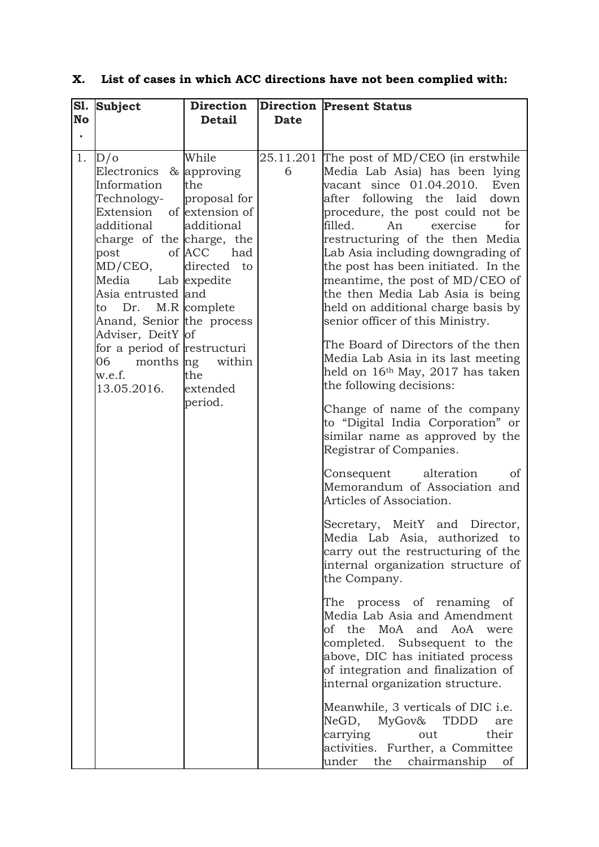| S1.<br><b>No</b><br>$\bullet$<br>1. | <b>Subject</b><br>D/O<br>Electronics & approving<br>Information<br>Technology-<br>Extension of extension of<br>additional<br>charge of the charge, the<br>of ACC<br>post<br>MD/CEO,<br>Media Lab expedite<br>Asia entrusted and<br>Dr.<br>to<br>Anand, Senior the process<br>Adviser, DeitY of<br>for a period of restructuri<br>months ng<br>06<br>w.e.f.<br>13.05.2016. | <b>Direction</b><br><b>Detail</b><br>While<br>the<br>proposal for<br>additional<br>had<br>directed to<br>M.R complete<br>within<br>the<br>extended<br>period. | <b>Date</b><br>6 | <b>Direction Present Status</b><br>25.11.201 The post of MD/CEO (in erstwhile<br>Media Lab Asia) has been lying<br>vacant since 01.04.2010.<br>Even<br>after following the laid down<br>procedure, the post could not be<br>filled.<br>for<br>exercise<br>An<br>restructuring of the then Media<br>Lab Asia including downgrading of<br>the post has been initiated. In the<br>meantime, the post of MD/CEO of<br>the then Media Lab Asia is being<br>held on additional charge basis by<br>senior officer of this Ministry.<br>The Board of Directors of the then<br>Media Lab Asia in its last meeting<br>held on 16 <sup>th</sup> May, 2017 has taken<br>the following decisions:<br>Change of name of the company<br>to "Digital India Corporation" or<br>similar name as approved by the<br>Registrar of Companies.<br>alteration<br>Consequent<br><sub>of</sub><br>Memorandum of Association and |
|-------------------------------------|---------------------------------------------------------------------------------------------------------------------------------------------------------------------------------------------------------------------------------------------------------------------------------------------------------------------------------------------------------------------------|---------------------------------------------------------------------------------------------------------------------------------------------------------------|------------------|--------------------------------------------------------------------------------------------------------------------------------------------------------------------------------------------------------------------------------------------------------------------------------------------------------------------------------------------------------------------------------------------------------------------------------------------------------------------------------------------------------------------------------------------------------------------------------------------------------------------------------------------------------------------------------------------------------------------------------------------------------------------------------------------------------------------------------------------------------------------------------------------------------|
|                                     |                                                                                                                                                                                                                                                                                                                                                                           |                                                                                                                                                               |                  | Articles of Association.<br>Secretary, MeitY and Director,<br>Media Lab Asia, authorized to<br>carry out the restructuring of the<br>internal organization structure of<br>the Company.                                                                                                                                                                                                                                                                                                                                                                                                                                                                                                                                                                                                                                                                                                                |
|                                     |                                                                                                                                                                                                                                                                                                                                                                           |                                                                                                                                                               |                  | The process of renaming of<br>Media Lab Asia and Amendment<br>of the MoA and AoA were<br>completed. Subsequent to the<br>above, DIC has initiated process<br>of integration and finalization of<br>internal organization structure.                                                                                                                                                                                                                                                                                                                                                                                                                                                                                                                                                                                                                                                                    |
|                                     |                                                                                                                                                                                                                                                                                                                                                                           |                                                                                                                                                               |                  | Meanwhile, 3 verticals of DIC i.e.<br>NeGD,<br>MyGov& TDDD<br>are<br>carrying<br>their<br>out<br>activities. Further, a Committee<br>under<br>the<br>chairmanship<br>of                                                                                                                                                                                                                                                                                                                                                                                                                                                                                                                                                                                                                                                                                                                                |

# **X. List of cases in which ACC directions have not been complied with:**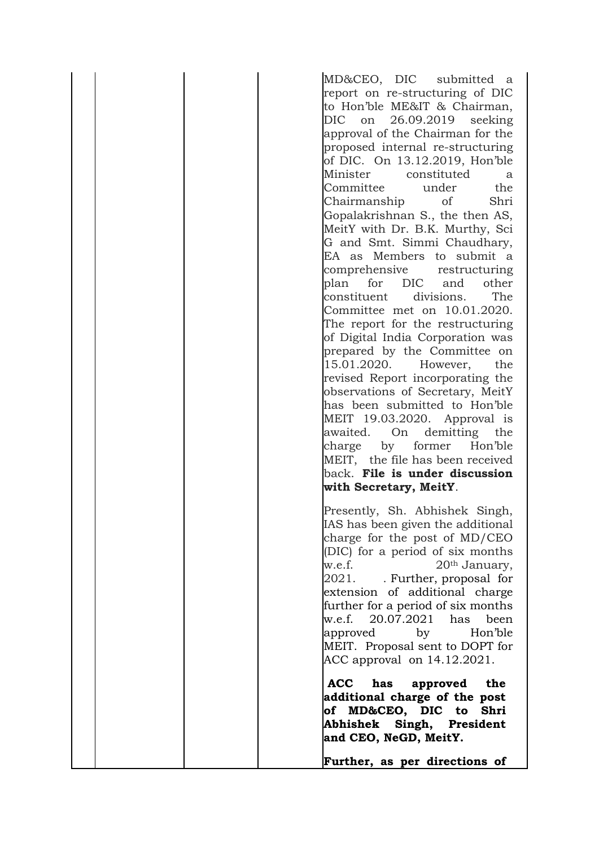MD&CEO, DIC submitted a report on re-structuring of DIC to Hon'ble ME&IT & Chairman, DIC on 26.09.2019 seeking approval of the Chairman for the proposed internal re-structuring of DIC. On 13.12.2019, Hon'ble Minister constituted a Committee under the Chairmanship of Shri Gopalakrishnan S., the then AS, MeitY with Dr. B.K. Murthy, Sci G and Smt. Simmi Chaudhary, EA as Members to submit a comprehensive restructuring plan for DIC and other constituent divisions. The Committee met on 10.01.2020. The report for the restructuring of Digital India Corporation was prepared by the Committee on 15.01.2020. However, the revised Report incorporating the observations of Secretary, MeitY has been submitted to Hon'ble MEIT 19.03.2020. Approval is awaited. On demitting the charge by former Hon'ble MEIT, the file has been received back. **File is under discussion with Secretary, MeitY**. Presently, Sh. Abhishek Singh, IAS has been given the additional charge for the post of MD/CEO (DIC) for a period of six months w.e.f. 20<sup>th</sup> January, 2021. . Further, proposal for extension of additional charge further for a period of six months w.e.f. 20.07.2021 has been approved by Hon'ble MEIT. Proposal sent to DOPT for ACC approval on 14.12.2021. **ACC has approved the additional charge of the post of MD&CEO, DIC to Shri Abhishek Singh, President and CEO, NeGD, MeitY.** 

**Further, as per directions of**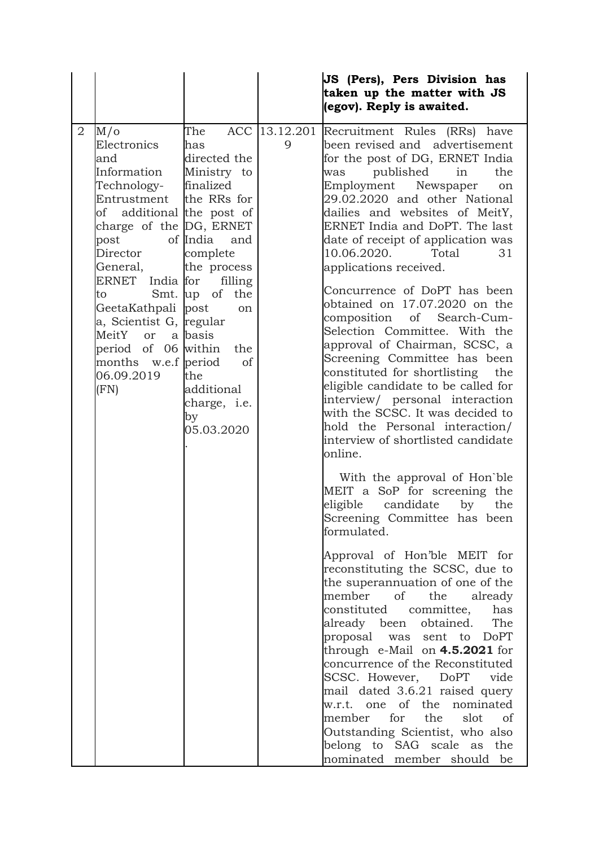|                |                                                                                                                                                                                                                                                                                                                                 |                                                                                                                                                                                                                                            |                    | JS (Pers), Pers Division has<br>taken up the matter with JS<br>(egov). Reply is awaited.                                                                                                                                                                                                                                                                                                                                                                                                                                                                                                                                                                                                                                                                                                                        |
|----------------|---------------------------------------------------------------------------------------------------------------------------------------------------------------------------------------------------------------------------------------------------------------------------------------------------------------------------------|--------------------------------------------------------------------------------------------------------------------------------------------------------------------------------------------------------------------------------------------|--------------------|-----------------------------------------------------------------------------------------------------------------------------------------------------------------------------------------------------------------------------------------------------------------------------------------------------------------------------------------------------------------------------------------------------------------------------------------------------------------------------------------------------------------------------------------------------------------------------------------------------------------------------------------------------------------------------------------------------------------------------------------------------------------------------------------------------------------|
| $\overline{2}$ | $M/\sigma$<br>Electronics<br>and<br>Information<br>Technology-<br>Entrustment<br>of additional the post of<br>charge of the DG, ERNET<br>post<br>Director<br>General,<br>ERNET India for<br>to<br>GeetaKathpali post<br>a, Scientist G, regular<br>MeitY or<br>period of 06 within<br>months w.e.f period<br>06.09.2019<br>(FN) | The<br>has<br>directed the<br>Ministry to<br>finalized<br>the RRs for<br>of India<br>and<br>complete<br>the process<br>filling<br>Smt. up of<br>the<br>on<br>a basis<br>the<br>of<br>the<br>additional<br>charge, i.e.<br>by<br>05.03.2020 | ACC 13.12.201<br>9 | Recruitment Rules (RRs) have<br>been revised and advertisement<br>for the post of DG, ERNET India<br>published<br>in<br>the<br>was<br>Employment Newspaper<br>on<br>29.02.2020 and other National<br>dailies and websites of MeitY,<br>ERNET India and DoPT. The last<br>date of receipt of application was<br>10.06.2020.<br>31<br>Total<br>applications received.<br>Concurrence of DoPT has been<br>obtained on 17.07.2020 on the<br>composition<br>of Search-Cum-<br>Selection Committee. With the<br>approval of Chairman, SCSC, a<br>Screening Committee has been<br>constituted for shortlisting<br>the<br>eligible candidate to be called for<br>interview/ personal interaction<br>with the SCSC. It was decided to<br>hold the Personal interaction/<br>interview of shortlisted candidate<br>online. |
|                |                                                                                                                                                                                                                                                                                                                                 |                                                                                                                                                                                                                                            |                    | With the approval of Hon'ble<br>MEIT a SoP for screening the<br>eligible<br>candidate<br>by<br>the<br>Screening Committee has been<br>formulated.<br>Approval of Hon'ble MEIT for<br>reconstituting the SCSC, due to<br>the superannuation of one of the<br>member<br>of<br>the<br>already<br>constituted<br>committee,<br>has<br>already been obtained.<br>The<br>proposal was sent to DoPT<br>through $e$ -Mail on $4.5.2021$ for<br>concurrence of the Reconstituted<br>SCSC. However, DoPT<br>vide<br>mail dated 3.6.21 raised query<br>w.r.t. one of the<br>nominated<br>member for the<br>slot<br>of<br>Outstanding Scientist, who also<br>belong to SAG scale as the<br>nominated member should be                                                                                                       |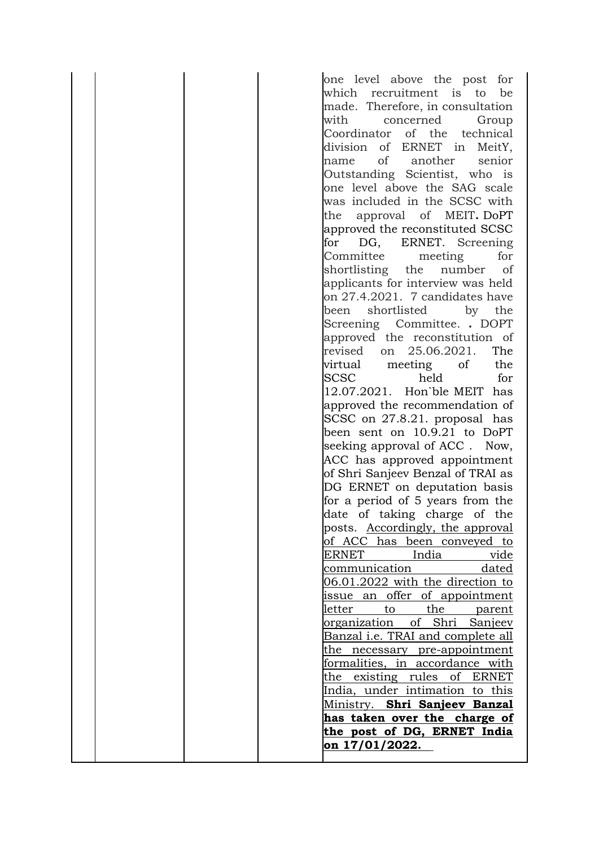one level above the post for which recruitment is to be made. Therefore, in consultation with concerned Group Coordinator of the technical division of ERNET in MeitY, name of another senior Outstanding Scientist, who is one level above the SAG scale was included in the SCSC with the approval of MEIT**.** DoPT approved the reconstituted SCSC for DG, ERNET. Screening Committee meeting for shortlisting the number of applicants for interview was held on 27.4.2021. 7 candidates have been shortlisted by the Screening Committee. **.** DOPT approved the reconstitution of revised on 25.06.2021. The virtual meeting of the SCSC held for 12.07.2021. Hon`ble MEIT has approved the recommendation of SCSC on 27.8.21. proposal has been sent on 10.9.21 to DoPT seeking approval of ACC. Now, ACC has approved appointment of Shri Sanjeev Benzal of TRAI as DG ERNET on deputation basis for a period of 5 years from the date of taking charge of the posts. Accordingly, the approval of ACC has been conveyed to ERNET India vide communication dated 06.01.2022 with the direction to issue an offer of appointment letter to the parent organization of Shri Sanjeev Banzal i.e. TRAI and complete all the necessary pre-appointment formalities, in accordance with the existing rules of ERNET India, under intimation to this Ministry. **Shri Sanjeev Banzal has taken over the charge of the post of DG, ERNET India on 17/01/2022.**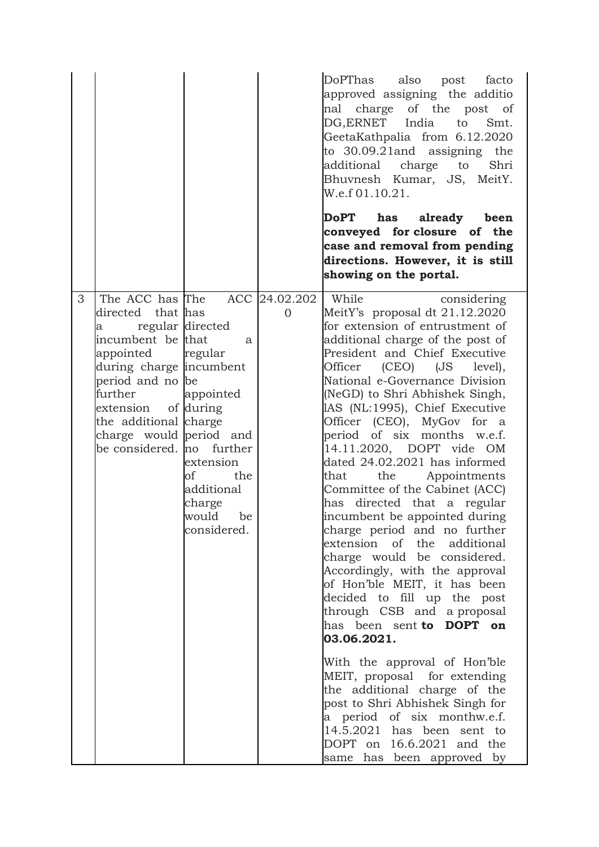|                                                                                                                                                                                                                                                  |                                                                                                                                 |   | DoPThas also post facto<br>approved assigning the additio<br>charge of the post of<br>nal<br>DG, ERNET India to<br>Smt.<br>GeetaKathpalia from 6.12.2020<br>to 30.09.21and assigning the<br>additional charge to<br>Shri<br>Bhuvnesh Kumar, JS, MeitY.<br>W.e.f 01.10.21.<br>DoPT has already been<br>conveyed for closure of the                                                                                                                                                                                                                                                                                                                                                                                                                                                                                                                                                                                                                                                                                                                                                                                   |
|--------------------------------------------------------------------------------------------------------------------------------------------------------------------------------------------------------------------------------------------------|---------------------------------------------------------------------------------------------------------------------------------|---|---------------------------------------------------------------------------------------------------------------------------------------------------------------------------------------------------------------------------------------------------------------------------------------------------------------------------------------------------------------------------------------------------------------------------------------------------------------------------------------------------------------------------------------------------------------------------------------------------------------------------------------------------------------------------------------------------------------------------------------------------------------------------------------------------------------------------------------------------------------------------------------------------------------------------------------------------------------------------------------------------------------------------------------------------------------------------------------------------------------------|
|                                                                                                                                                                                                                                                  |                                                                                                                                 |   | case and removal from pending<br>directions. However, it is still<br>showing on the portal.                                                                                                                                                                                                                                                                                                                                                                                                                                                                                                                                                                                                                                                                                                                                                                                                                                                                                                                                                                                                                         |
| The ACC has The<br>3<br>directed that has<br>a<br>incumbent be that<br>appointed regular<br>during charge incumbent<br>period and no be<br>further<br>extension<br>the additional charge<br>charge would period and<br>be considered. no further | regular directed<br>a<br>appointed<br>of during<br>extension<br>of<br>the<br>additional<br>charge<br>would<br>be<br>considered. | 0 | ACC 24.02.202   While<br>considering<br>MeitY's proposal dt 21.12.2020<br>for extension of entrustment of<br>additional charge of the post of<br>President and Chief Executive<br>Officer (CEO) (JS<br>level),<br>National e-Governance Division<br>(NeGD) to Shri Abhishek Singh,<br>IAS (NL:1995), Chief Executive<br>Officer (CEO), MyGov for a<br>period of six months w.e.f.<br>14.11.2020, DOPT vide OM<br>dated 24.02.2021 has informed<br>the Appointments<br>that<br>Committee of the Cabinet (ACC)<br>directed that a regular<br>has<br>incumbent be appointed during<br>charge period and no further<br>extension of the additional<br>charge would be considered.<br>Accordingly, with the approval<br>of Hon'ble MEIT, it has been<br>decided to fill up the post<br>through CSB and a proposal<br>has been sent to DOPT on<br>03.06.2021.<br>With the approval of Hon'ble<br>MEIT, proposal for extending<br>the additional charge of the<br>post to Shri Abhishek Singh for<br>a period of six monthw.e.f.<br>$14.5.2021$ has been sent to<br>DOPT on 16.6.2021 and the<br>same has been approved by |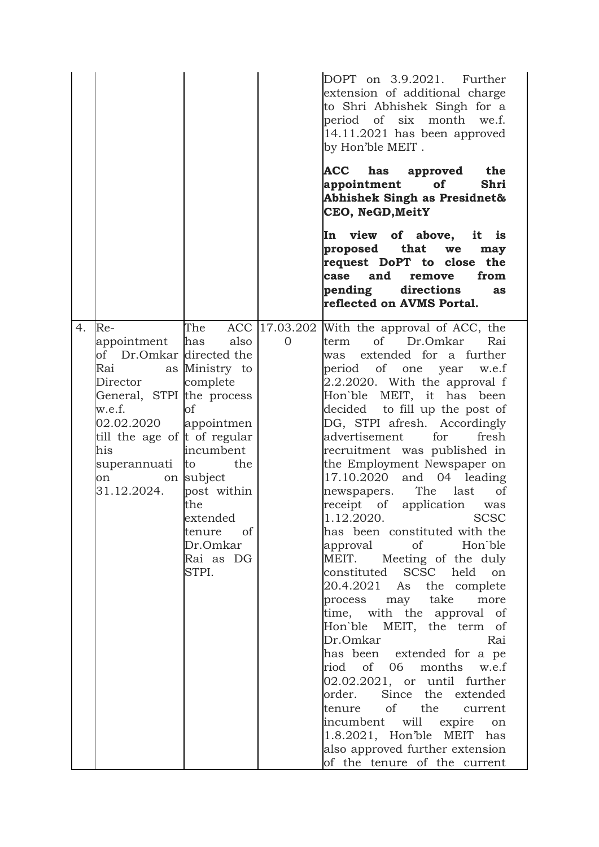|    |                                                                                                                                                                                                             |                                                                                                                                                                                  |          | DOPT on 3.9.2021. Further<br>extension of additional charge<br>to Shri Abhishek Singh for a<br>period of six month we.f.<br>14.11.2021 has been approved<br>by Hon'ble MEIT.                                                                                                                                                                                                                                                                                                                                                                                                                                                                                                                                                                                                                                                                                                                                                                                                                                                                            |
|----|-------------------------------------------------------------------------------------------------------------------------------------------------------------------------------------------------------------|----------------------------------------------------------------------------------------------------------------------------------------------------------------------------------|----------|---------------------------------------------------------------------------------------------------------------------------------------------------------------------------------------------------------------------------------------------------------------------------------------------------------------------------------------------------------------------------------------------------------------------------------------------------------------------------------------------------------------------------------------------------------------------------------------------------------------------------------------------------------------------------------------------------------------------------------------------------------------------------------------------------------------------------------------------------------------------------------------------------------------------------------------------------------------------------------------------------------------------------------------------------------|
|    |                                                                                                                                                                                                             |                                                                                                                                                                                  |          | ACC has approved the<br>appointment<br>Shri<br>of<br>Abhishek Singh as Presidnet&<br>CEO, NeGD, MeitY                                                                                                                                                                                                                                                                                                                                                                                                                                                                                                                                                                                                                                                                                                                                                                                                                                                                                                                                                   |
|    |                                                                                                                                                                                                             |                                                                                                                                                                                  |          | In view of above, it is<br>proposed that<br>we<br>may<br>request DoPT to close the<br>and<br>case<br>from<br>remove<br>pending directions<br>as<br>reflected on AVMS Portal.                                                                                                                                                                                                                                                                                                                                                                                                                                                                                                                                                                                                                                                                                                                                                                                                                                                                            |
| 4. | $Re-$<br>appointment<br>of Dr.Omkar directed the<br>Rai<br>Director<br>General, STPI the process<br>w.e.f.<br>02.02.2020<br>till the age of t of regular<br>his<br>superannuati to the<br>on<br>31.12.2024. | The<br>also<br>has<br>as Ministry to<br>complete<br>of<br>appointmen<br>incumbent<br>on subject<br>post within<br>the<br>extended<br>tenure of<br>Dr.Omkar<br>Rai as DG<br>STPI. | $\Omega$ | ACC   17.03.202   With the approval of ACC, the<br>of Dr.Omkar<br>term<br>Rai<br>was extended for a further<br>period of one year<br>w.e.f<br>2.2.2020. With the approval f<br>Hon'ble MEIT, it has been<br>decided to fill up the post of<br>DG, STPI afresh. Accordingly<br>advertisement<br>for<br>fresh<br>recruitment was published in<br>the Employment Newspaper on<br>and 04 leading<br>17.10.2020<br>The<br>last<br>of<br>newspapers.<br>receipt of application<br>was<br>1.12.2020. SCSC<br>has been constituted with the<br>approval<br>$\circ$ of<br>Hon`ble<br>Meeting of the duly<br>MEIT.<br>constituted SCSC held on<br>20.4.2021 As the complete<br>process may take<br>more<br>time, with the approval of<br>Hon'ble MEIT, the term of<br>Dr.Omkar<br>Rai<br>has been extended for a pe<br>riod of 06 months w.e.f<br>02.02.2021, or until further<br>order. Since the extended<br>tenure of the current<br>incumbent will expire on<br>1.8.2021, Hon'ble MEIT has<br>also approved further extension<br>of the tenure of the current |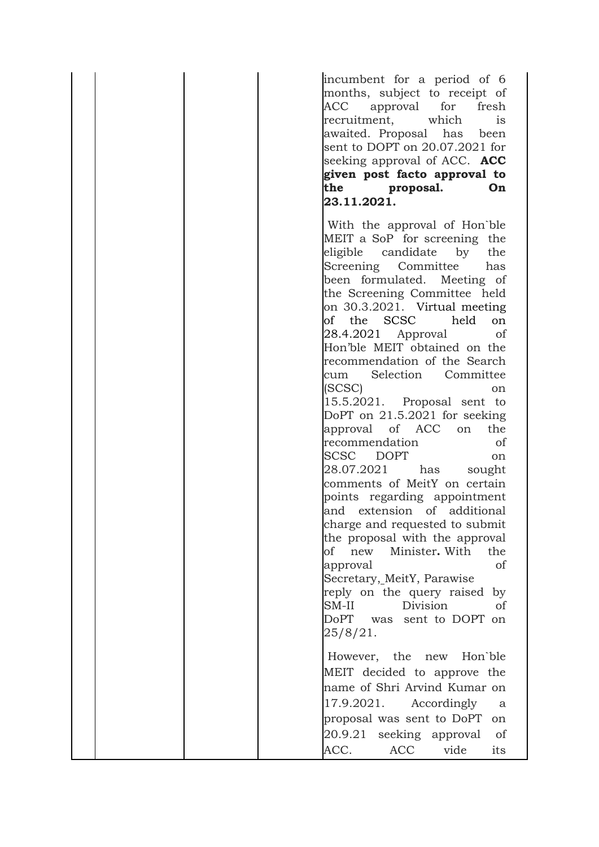incumbent for a period of 6 months, subject to receipt of ACC approval for fresh recruitment, which is awaited. Proposal has been sent to DOPT on 20.07.2021 for seeking approval of ACC. **ACC given post facto approval to the proposal. On 23.11.2021.**

With the approval of Hon`ble MEIT a SoP for screening the eligible candidate by the Screening Committee has been formulated. Meeting of the Screening Committee held on 30.3.2021. Virtual meeting of the SCSC held on 28.4.2021 Approval of Hon'ble MEIT obtained on the recommendation of the Search cum Selection Committee (SCSC) on 15.5.2021. Proposal sent to DoPT on 21.5.2021 for seeking approval of ACC on the recommendation of SCSC DOPT on 28.07.2021 has sought comments of MeitY on certain points regarding appointment and extension of additional charge and requested to submit the proposal with the approval of new Minister**.** With the approval of Secretary, MeitY, Parawise reply on the query raised by SM-II Division of DoPT was sent to DOPT on 25/8/21. However, the new Hon`ble MEIT decided to approve the name of Shri Arvind Kumar on 17.9.2021. Accordingly a proposal was sent to DoPT on 20.9.21 seeking approval of

ACC. ACC vide its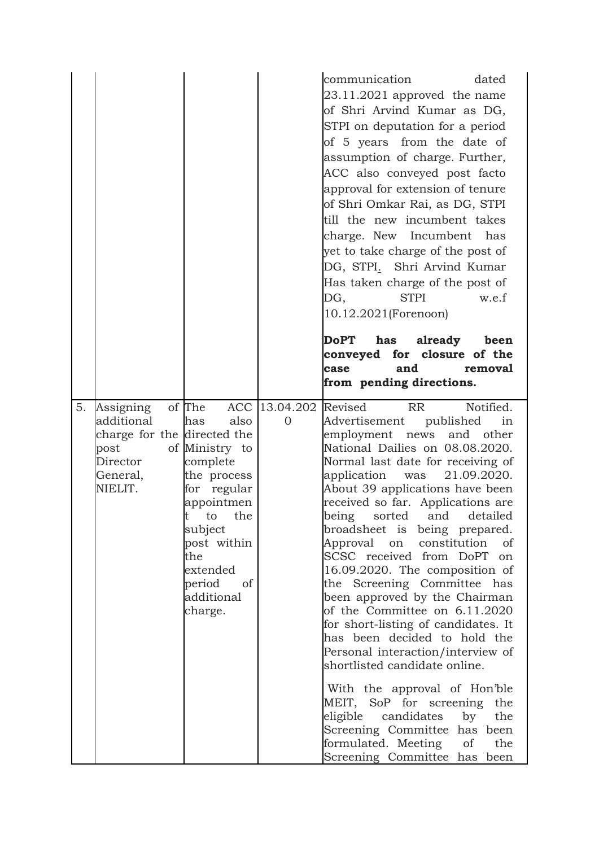|    |                                                                                                   |                                                                                                                                                                                                         |                                 | communication<br>dated<br>23.11.2021 approved the name<br>of Shri Arvind Kumar as DG,<br>STPI on deputation for a period<br>of 5 years from the date of<br>assumption of charge. Further,<br>ACC also conveyed post facto<br>approval for extension of tenure<br>of Shri Omkar Rai, as DG, STPI<br>till the new incumbent takes<br>charge. New Incumbent has<br>yet to take charge of the post of<br>DG, STPI. Shri Arvind Kumar<br>Has taken charge of the post of<br>DG,<br><b>STPI</b><br>w.e.f<br>10.12.2021(Forenoon)<br>DoPT has<br>already<br>been<br>conveyed for closure of the<br>and<br>case<br>removal                                                                                                                                                                                                                                                                                                                                        |
|----|---------------------------------------------------------------------------------------------------|---------------------------------------------------------------------------------------------------------------------------------------------------------------------------------------------------------|---------------------------------|-----------------------------------------------------------------------------------------------------------------------------------------------------------------------------------------------------------------------------------------------------------------------------------------------------------------------------------------------------------------------------------------------------------------------------------------------------------------------------------------------------------------------------------------------------------------------------------------------------------------------------------------------------------------------------------------------------------------------------------------------------------------------------------------------------------------------------------------------------------------------------------------------------------------------------------------------------------|
| 5. | Assigning<br>additional<br>charge for the directed the<br>post<br>Director<br>General,<br>NIELIT. | of The<br>also<br>has<br>of Ministry to<br>complete<br>the process<br>for regular<br>appointmen<br>the<br>to<br>t<br>subject<br>post within<br>the<br>extended<br>period<br>of<br>additional<br>charge. | ACC 13.04.202<br>$\overline{0}$ | from pending directions.<br>Notified.<br>Revised<br><b>RR</b><br>Advertisement published<br>in<br>employment news and other<br>National Dailies on 08.08.2020.<br>Normal last date for receiving of<br>application<br>21.09.2020.<br>was<br>About 39 applications have been<br>received so far. Applications are<br>detailed<br>being<br>sorted<br>and<br>broadsheet is being prepared.<br>Approval on constitution<br><sub>of</sub><br>SCSC received from DoPT on<br>16.09.2020. The composition of<br>the Screening Committee has<br>been approved by the Chairman<br>of the Committee on 6.11.2020<br>for short-listing of candidates. It<br>has been decided to hold the<br>Personal interaction/interview of<br>shortlisted candidate online.<br>With the approval of Hon'ble<br>MEIT, SoP for screening the<br>eligible<br>the<br>candidates<br>by<br>Screening Committee has been<br>formulated. Meeting of<br>the<br>Screening Committee has been |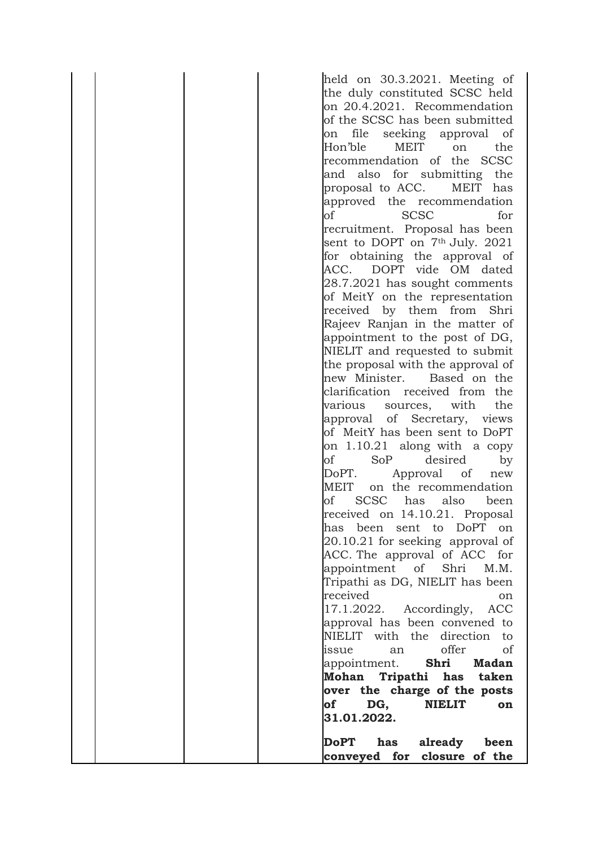| held on 30.3.2021. Meeting of             |
|-------------------------------------------|
| the duly constituted SCSC held            |
| on 20.4.2021. Recommendation              |
| of the SCSC has been submitted            |
| file                                      |
| seeking approval of<br>on<br>MEIT         |
| Hon'ble<br>the<br>on                      |
| recommendation of the SCSC                |
| and also for submitting the               |
| MEIT has<br>proposal to ACC.              |
| approved the recommendation               |
| <b>SCSC</b><br>οf<br>for                  |
| recruitment. Proposal has been            |
| sent to DOPT on 7th July. 2021            |
| for obtaining the approval of             |
| DOPT vide OM dated<br>ACC.                |
| 28.7.2021 has sought comments             |
| of MeitY on the representation            |
| received by them from Shri                |
| Rajeev Ranjan in the matter of            |
| appointment to the post of DG,            |
| NIELIT and requested to submit            |
| the proposal with the approval of         |
| new Minister. Based on the                |
| clarification received from the           |
| various<br>with<br>the                    |
| sources,                                  |
| approval of Secretary, views              |
| of MeitY has been sent to DoPT            |
| on $1.10.21$ along with a copy            |
| SoP<br>desired<br>οf<br>by                |
| DoPT.<br>Approval<br><sub>of</sub><br>new |
| MEIT<br>on the recommendation             |
| SCSC has<br>also<br>οf<br>been            |
| received on 14.10.21. Proposal            |
| been sent to<br>has<br>DoPT<br>on         |
| $20.10.21$ for seeking approval of        |
| ACC. The approval of ACC for              |
| appointment of<br>Shri<br>M.M.            |
| Tripathi as DG, NIELIT has been           |
| received<br>on                            |
| 17.1.2022. Accordingly,<br>ACC            |
| approval has been convened to             |
| NIELIT with the direction<br>to           |
| offer<br>of<br>issue<br>an                |
| appointment. <b>Shri</b><br><b>Madan</b>  |
| Mohan Tripathi has taken                  |
| over the charge of the posts              |
| of<br>DG,<br><b>NIELIT</b><br>on          |
| 31.01.2022.                               |
|                                           |
| <b>DoPT</b><br>has<br>already<br>been     |
| conveyed for closure of the               |